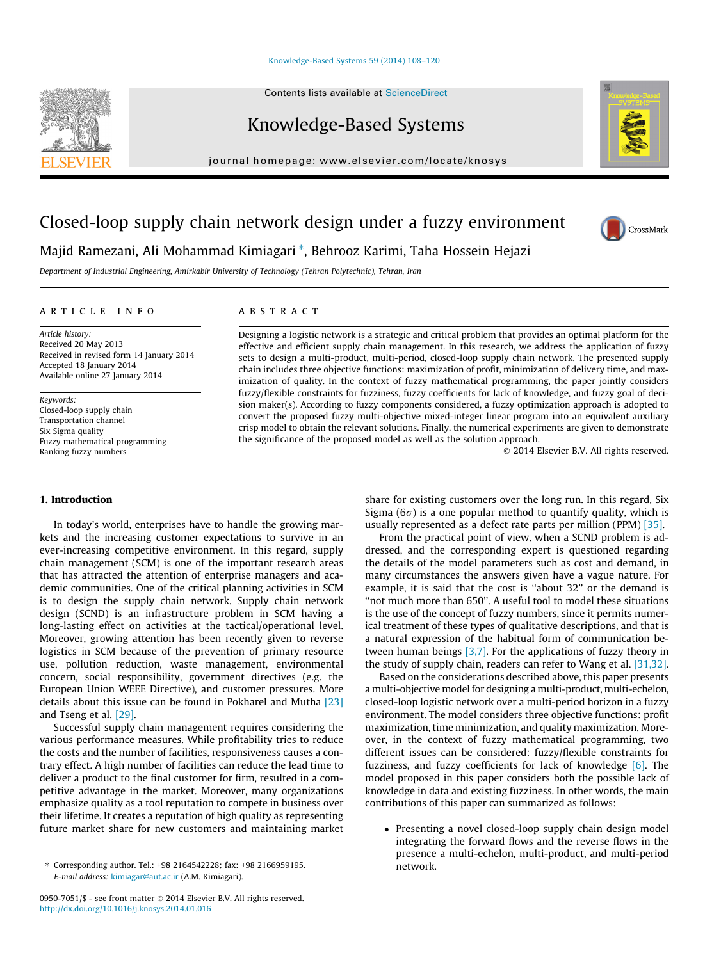#### [Knowledge-Based Systems 59 \(2014\) 108–120](http://dx.doi.org/10.1016/j.knosys.2014.01.016)

Contents lists available at [ScienceDirect](http://www.sciencedirect.com/science/journal/09507051)

## Knowledge-Based Systems

journal homepage: [www.elsevier.com/locate/knosys](http://www.elsevier.com/locate/knosys)

# Closed-loop supply chain network design under a fuzzy environment

Majid Ramezani, Ali Mohammad Kimiagari \*, Behrooz Karimi, Taha Hossein Hejazi

Department of Industrial Engineering, Amirkabir University of Technology (Tehran Polytechnic), Tehran, Iran

### article info

Article history: Received 20 May 2013 Received in revised form 14 January 2014 Accepted 18 January 2014 Available online 27 January 2014

Keywords: Closed-loop supply chain Transportation channel Six Sigma quality Fuzzy mathematical programming Ranking fuzzy numbers

#### 1. Introduction

In today's world, enterprises have to handle the growing markets and the increasing customer expectations to survive in an ever-increasing competitive environment. In this regard, supply chain management (SCM) is one of the important research areas that has attracted the attention of enterprise managers and academic communities. One of the critical planning activities in SCM is to design the supply chain network. Supply chain network design (SCND) is an infrastructure problem in SCM having a long-lasting effect on activities at the tactical/operational level. Moreover, growing attention has been recently given to reverse logistics in SCM because of the prevention of primary resource use, pollution reduction, waste management, environmental concern, social responsibility, government directives (e.g. the European Union WEEE Directive), and customer pressures. More details about this issue can be found in Pokharel and Mutha [\[23\]](#page--1-0) and Tseng et al. [\[29\].](#page--1-0)

Successful supply chain management requires considering the various performance measures. While profitability tries to reduce the costs and the number of facilities, responsiveness causes a contrary effect. A high number of facilities can reduce the lead time to deliver a product to the final customer for firm, resulted in a competitive advantage in the market. Moreover, many organizations emphasize quality as a tool reputation to compete in business over their lifetime. It creates a reputation of high quality as representing future market share for new customers and maintaining market

### **ABSTRACT**

Designing a logistic network is a strategic and critical problem that provides an optimal platform for the effective and efficient supply chain management. In this research, we address the application of fuzzy sets to design a multi-product, multi-period, closed-loop supply chain network. The presented supply chain includes three objective functions: maximization of profit, minimization of delivery time, and maximization of quality. In the context of fuzzy mathematical programming, the paper jointly considers fuzzy/flexible constraints for fuzziness, fuzzy coefficients for lack of knowledge, and fuzzy goal of decision maker(s). According to fuzzy components considered, a fuzzy optimization approach is adopted to convert the proposed fuzzy multi-objective mixed-integer linear program into an equivalent auxiliary crisp model to obtain the relevant solutions. Finally, the numerical experiments are given to demonstrate the significance of the proposed model as well as the solution approach.

- 2014 Elsevier B.V. All rights reserved.

share for existing customers over the long run. In this regard, Six Sigma ( $6\sigma$ ) is a one popular method to quantify quality, which is usually represented as a defect rate parts per million (PPM) [\[35\]](#page--1-0).

From the practical point of view, when a SCND problem is addressed, and the corresponding expert is questioned regarding the details of the model parameters such as cost and demand, in many circumstances the answers given have a vague nature. For example, it is said that the cost is ''about 32'' or the demand is ''not much more than 650''. A useful tool to model these situations is the use of the concept of fuzzy numbers, since it permits numerical treatment of these types of qualitative descriptions, and that is a natural expression of the habitual form of communication between human beings  $[3,7]$ . For the applications of fuzzy theory in the study of supply chain, readers can refer to Wang et al. [\[31,32\].](#page--1-0)

Based on the considerations described above, this paper presents a multi-objective model for designing a multi-product, multi-echelon, closed-loop logistic network over a multi-period horizon in a fuzzy environment. The model considers three objective functions: profit maximization, time minimization, and quality maximization. Moreover, in the context of fuzzy mathematical programming, two different issues can be considered: fuzzy/flexible constraints for fuzziness, and fuzzy coefficients for lack of knowledge  $[6]$ . The model proposed in this paper considers both the possible lack of knowledge in data and existing fuzziness. In other words, the main contributions of this paper can summarized as follows:

- Presenting a novel closed-loop supply chain design model integrating the forward flows and the reverse flows in the presence a multi-echelon, multi-product, and multi-period network.







<sup>⇑</sup> Corresponding author. Tel.: +98 2164542228; fax: +98 2166959195. E-mail address: [kimiagar@aut.ac.ir](mailto:kimiagar@aut.ac.ir) (A.M. Kimiagari).

<sup>0950-7051/\$ -</sup> see front matter © 2014 Elsevier B.V. All rights reserved. <http://dx.doi.org/10.1016/j.knosys.2014.01.016>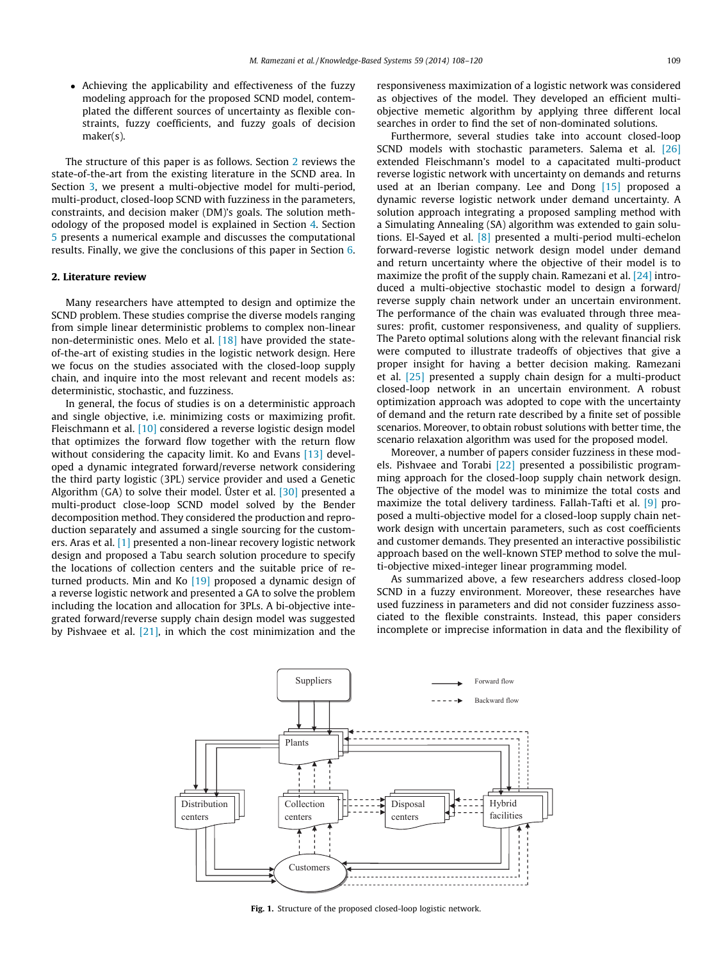- Achieving the applicability and effectiveness of the fuzzy modeling approach for the proposed SCND model, contemplated the different sources of uncertainty as flexible constraints, fuzzy coefficients, and fuzzy goals of decision maker(s).

The structure of this paper is as follows. Section 2 reviews the state-of-the-art from the existing literature in the SCND area. In Section [3,](#page--1-0) we present a multi-objective model for multi-period, multi-product, closed-loop SCND with fuzziness in the parameters, constraints, and decision maker (DM)'s goals. The solution methodology of the proposed model is explained in Section [4](#page--1-0). Section [5](#page--1-0) presents a numerical example and discusses the computational results. Finally, we give the conclusions of this paper in Section [6.](#page--1-0)

#### 2. Literature review

Many researchers have attempted to design and optimize the SCND problem. These studies comprise the diverse models ranging from simple linear deterministic problems to complex non-linear non-deterministic ones. Melo et al. [\[18\]](#page--1-0) have provided the stateof-the-art of existing studies in the logistic network design. Here we focus on the studies associated with the closed-loop supply chain, and inquire into the most relevant and recent models as: deterministic, stochastic, and fuzziness.

In general, the focus of studies is on a deterministic approach and single objective, i.e. minimizing costs or maximizing profit. Fleischmann et al. [\[10\]](#page--1-0) considered a reverse logistic design model that optimizes the forward flow together with the return flow without considering the capacity limit. Ko and Evans [\[13\]](#page--1-0) developed a dynamic integrated forward/reverse network considering the third party logistic (3PL) service provider and used a Genetic Algorithm (GA) to solve their model. Üster et al. [\[30\]](#page--1-0) presented a multi-product close-loop SCND model solved by the Bender decomposition method. They considered the production and reproduction separately and assumed a single sourcing for the customers. Aras et al. [\[1\]](#page--1-0) presented a non-linear recovery logistic network design and proposed a Tabu search solution procedure to specify the locations of collection centers and the suitable price of returned products. Min and Ko [\[19\]](#page--1-0) proposed a dynamic design of a reverse logistic network and presented a GA to solve the problem including the location and allocation for 3PLs. A bi-objective integrated forward/reverse supply chain design model was suggested by Pishvaee et al. [\[21\],](#page--1-0) in which the cost minimization and the

responsiveness maximization of a logistic network was considered as objectives of the model. They developed an efficient multiobjective memetic algorithm by applying three different local searches in order to find the set of non-dominated solutions.

Furthermore, several studies take into account closed-loop SCND models with stochastic parameters. Salema et al. [\[26\]](#page--1-0) extended Fleischmann's model to a capacitated multi-product reverse logistic network with uncertainty on demands and returns used at an Iberian company. Lee and Dong [\[15\]](#page--1-0) proposed a dynamic reverse logistic network under demand uncertainty. A solution approach integrating a proposed sampling method with a Simulating Annealing (SA) algorithm was extended to gain solutions. El-Sayed et al. [\[8\]](#page--1-0) presented a multi-period multi-echelon forward-reverse logistic network design model under demand and return uncertainty where the objective of their model is to maximize the profit of the supply chain. Ramezani et al. [\[24\]](#page--1-0) introduced a multi-objective stochastic model to design a forward/ reverse supply chain network under an uncertain environment. The performance of the chain was evaluated through three measures: profit, customer responsiveness, and quality of suppliers. The Pareto optimal solutions along with the relevant financial risk were computed to illustrate tradeoffs of objectives that give a proper insight for having a better decision making. Ramezani et al. [\[25\]](#page--1-0) presented a supply chain design for a multi-product closed-loop network in an uncertain environment. A robust optimization approach was adopted to cope with the uncertainty of demand and the return rate described by a finite set of possible scenarios. Moreover, to obtain robust solutions with better time, the scenario relaxation algorithm was used for the proposed model.

Moreover, a number of papers consider fuzziness in these models. Pishvaee and Torabi [\[22\]](#page--1-0) presented a possibilistic programming approach for the closed-loop supply chain network design. The objective of the model was to minimize the total costs and maximize the total delivery tardiness. Fallah-Tafti et al. [\[9\]](#page--1-0) proposed a multi-objective model for a closed-loop supply chain network design with uncertain parameters, such as cost coefficients and customer demands. They presented an interactive possibilistic approach based on the well-known STEP method to solve the multi-objective mixed-integer linear programming model.

As summarized above, a few researchers address closed-loop SCND in a fuzzy environment. Moreover, these researches have used fuzziness in parameters and did not consider fuzziness associated to the flexible constraints. Instead, this paper considers incomplete or imprecise information in data and the flexibility of



Fig. 1. Structure of the proposed closed-loop logistic network.